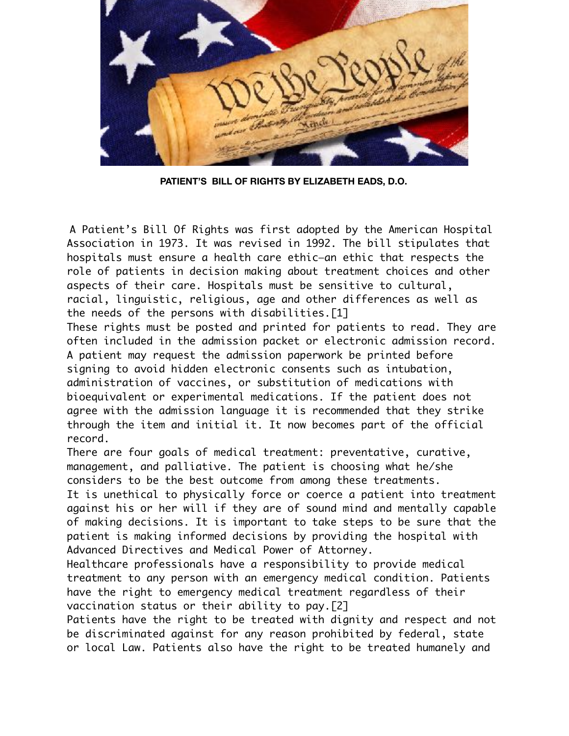

 **PATIENT'S BILL OF RIGHTS BY ELIZABETH EADS, D.O.**

A Patient's Bill Of Rights was first adopted by the American Hospital Association in 1973. It was revised in 1992. The bill stipulates that hospitals must ensure a health care ethic—an ethic that respects the role of patients in decision making about treatment choices and other aspects of their care. Hospitals must be sensitive to cultural, racial, linguistic, religious, age and other differences as well as the needs of the persons with disabilities.[1]

These rights must be posted and printed for patients to read. They are often included in the admission packet or electronic admission record. A patient may request the admission paperwork be printed before signing to avoid hidden electronic consents such as intubation, administration of vaccines, or substitution of medications with bioequivalent or experimental medications. If the patient does not agree with the admission language it is recommended that they strike through the item and initial it. It now becomes part of the official record.

There are four goals of medical treatment: preventative, curative, management, and palliative. The patient is choosing what he/she considers to be the best outcome from among these treatments. It is unethical to physically force or coerce a patient into treatment against his or her will if they are of sound mind and mentally capable of making decisions. It is important to take steps to be sure that the patient is making informed decisions by providing the hospital with Advanced Directives and Medical Power of Attorney.

Healthcare professionals have a responsibility to provide medical treatment to any person with an emergency medical condition. Patients have the right to emergency medical treatment regardless of their vaccination status or their ability to pay.[2]

Patients have the right to be treated with dignity and respect and not be discriminated against for any reason prohibited by federal, state or local Law. Patients also have the right to be treated humanely and